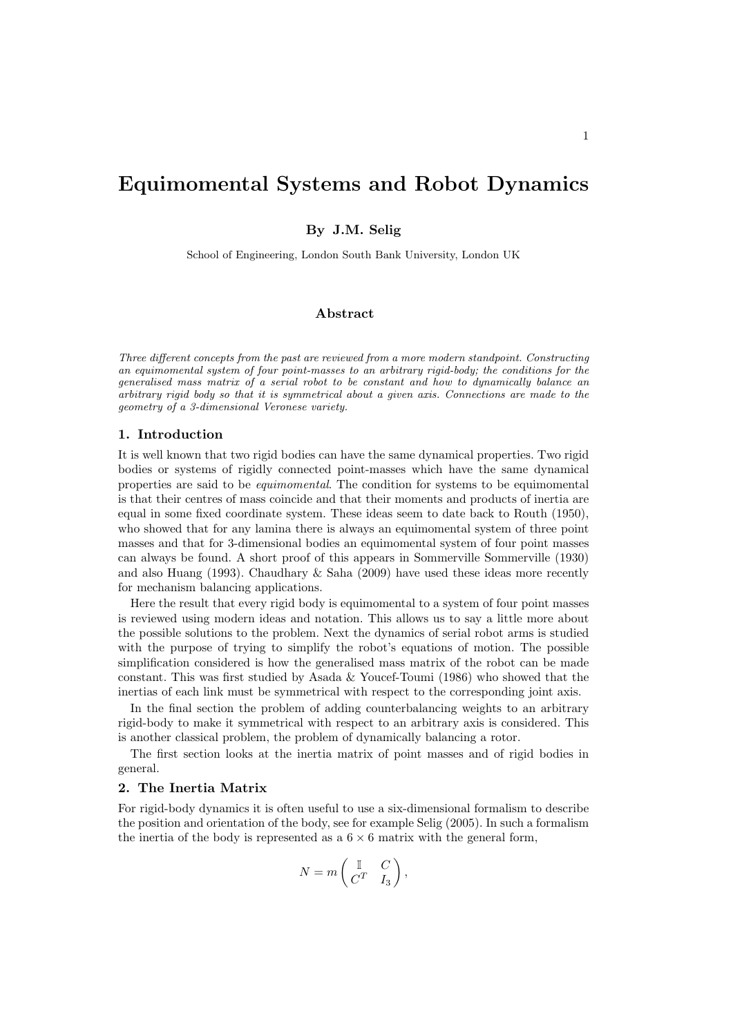By J.M. Selig

School of Engineering, London South Bank University, London UK

# Abstract

Three different concepts from the past are reviewed from a more modern standpoint. Constructing an equimomental system of four point-masses to an arbitrary rigid-body; the conditions for the generalised mass matrix of a serial robot to be constant and how to dynamically balance an arbitrary rigid body so that it is symmetrical about a given axis. Connections are made to the geometry of a 3-dimensional Veronese variety.

# 1. Introduction

It is well known that two rigid bodies can have the same dynamical properties. Two rigid bodies or systems of rigidly connected point-masses which have the same dynamical properties are said to be equimomental. The condition for systems to be equimomental is that their centres of mass coincide and that their moments and products of inertia are equal in some fixed coordinate system. These ideas seem to date back to Routh (1950), who showed that for any lamina there is always an equimomental system of three point masses and that for 3-dimensional bodies an equimomental system of four point masses can always be found. A short proof of this appears in Sommerville Sommerville (1930) and also Huang (1993). Chaudhary & Saha (2009) have used these ideas more recently for mechanism balancing applications.

Here the result that every rigid body is equimomental to a system of four point masses is reviewed using modern ideas and notation. This allows us to say a little more about the possible solutions to the problem. Next the dynamics of serial robot arms is studied with the purpose of trying to simplify the robot's equations of motion. The possible simplification considered is how the generalised mass matrix of the robot can be made constant. This was first studied by Asada & Youcef-Toumi (1986) who showed that the inertias of each link must be symmetrical with respect to the corresponding joint axis.

In the final section the problem of adding counterbalancing weights to an arbitrary rigid-body to make it symmetrical with respect to an arbitrary axis is considered. This is another classical problem, the problem of dynamically balancing a rotor.

The first section looks at the inertia matrix of point masses and of rigid bodies in general.

# 2. The Inertia Matrix

For rigid-body dynamics it is often useful to use a six-dimensional formalism to describe the position and orientation of the body, see for example Selig (2005). In such a formalism the inertia of the body is represented as a  $6 \times 6$  matrix with the general form,

$$
N = m \begin{pmatrix} \mathbb{I} & C \\ C^T & I_3 \end{pmatrix},
$$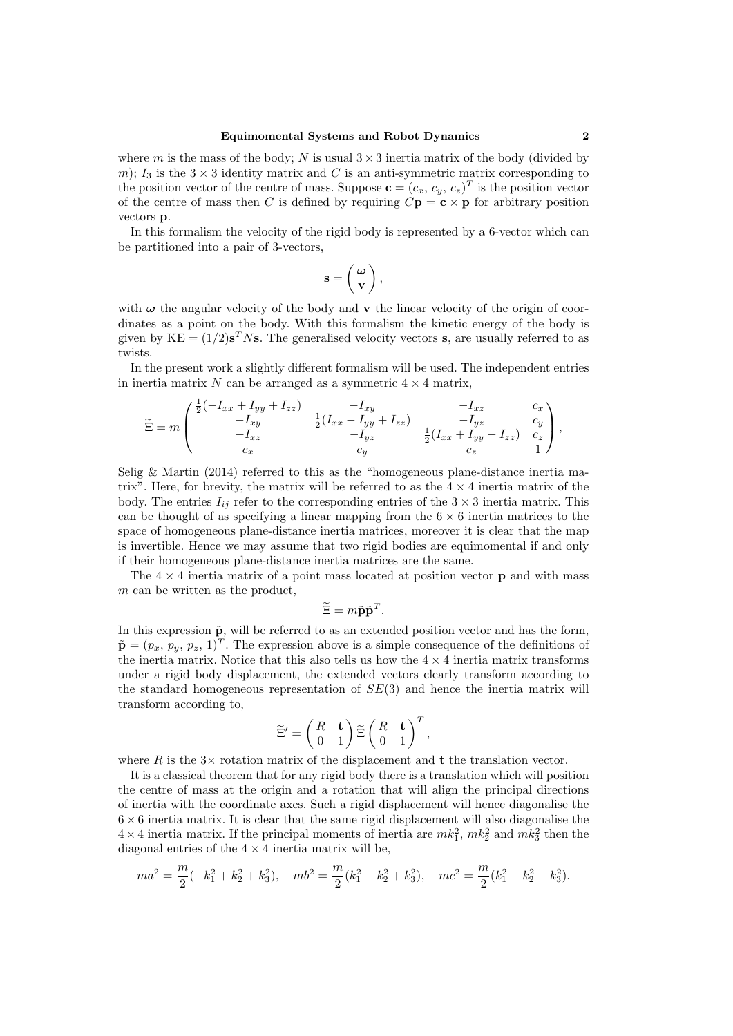where m is the mass of the body; N is usual  $3 \times 3$  inertia matrix of the body (divided by m);  $I_3$  is the  $3 \times 3$  identity matrix and C is an anti-symmetric matrix corresponding to the position vector of the centre of mass. Suppose  $\mathbf{c} = (c_x, c_y, c_z)^T$  is the position vector of the centre of mass then C is defined by requiring  $C\mathbf{p} = \mathbf{c} \times \mathbf{p}$  for arbitrary position vectors p.

In this formalism the velocity of the rigid body is represented by a 6-vector which can be partitioned into a pair of 3-vectors,

$$
\mathbf{s}=\left(\begin{array}{c} \boldsymbol{\omega} \\ \mathbf{v} \end{array}\right),
$$

with  $\omega$  the angular velocity of the body and **v** the linear velocity of the origin of coordinates as a point on the body. With this formalism the kinetic energy of the body is given by  $KE = (1/2)s<sup>T</sup> Ns$ . The generalised velocity vectors s, are usually referred to as twists.

In the present work a slightly different formalism will be used. The independent entries in inertia matrix N can be arranged as a symmetric  $4 \times 4$  matrix,

$$
\widetilde{\Xi} = m \begin{pmatrix} \frac{1}{2}(-I_{xx} + I_{yy} + I_{zz}) & -I_{xy} & -I_{xz} & c_x \\ -I_{xy} & \frac{1}{2}(I_{xx} - I_{yy} + I_{zz}) & -I_{yz} & -I_{yz} \\ -I_{xz} & -I_{yz} & \frac{1}{2}(I_{xx} + I_{yy} - I_{zz}) & c_z \\ c_x & c_y & c_z & 1 \end{pmatrix},
$$

Selig & Martin (2014) referred to this as the "homogeneous plane-distance inertia matrix". Here, for brevity, the matrix will be referred to as the  $4 \times 4$  inertia matrix of the body. The entries  $I_{ij}$  refer to the corresponding entries of the  $3 \times 3$  inertia matrix. This can be thought of as specifying a linear mapping from the  $6 \times 6$  inertia matrices to the space of homogeneous plane-distance inertia matrices, moreover it is clear that the map is invertible. Hence we may assume that two rigid bodies are equimomental if and only if their homogeneous plane-distance inertia matrices are the same.

The  $4 \times 4$  inertia matrix of a point mass located at position vector **p** and with mass m can be written as the product,

$$
\widetilde{\Xi} = m\widetilde{\mathbf{p}}\widetilde{\mathbf{p}}^T.
$$

In this expression  $\tilde{p}$ , will be referred to as an extended position vector and has the form,  $\tilde{\mathbf{p}} = (p_x, p_y, p_z, 1)^T$ . The expression above is a simple consequence of the definitions of the inertia matrix. Notice that this also tells us how the  $4 \times 4$  inertia matrix transforms under a rigid body displacement, the extended vectors clearly transform according to the standard homogeneous representation of  $SE(3)$  and hence the inertia matrix will transform according to,

$$
\widetilde{\Xi}' = \begin{pmatrix} R & \mathbf{t} \\ 0 & 1 \end{pmatrix} \widetilde{\Xi} \begin{pmatrix} R & \mathbf{t} \\ 0 & 1 \end{pmatrix}^T,
$$

where R is the  $3\times$  rotation matrix of the displacement and **t** the translation vector.

It is a classical theorem that for any rigid body there is a translation which will position the centre of mass at the origin and a rotation that will align the principal directions of inertia with the coordinate axes. Such a rigid displacement will hence diagonalise the  $6 \times 6$  inertia matrix. It is clear that the same rigid displacement will also diagonalise the  $4 \times 4$  inertia matrix. If the principal moments of inertia are  $mk_1^2$ ,  $mk_2^2$  and  $mk_3^2$  then the diagonal entries of the  $4 \times 4$  inertia matrix will be,

$$
ma^2 = \frac{m}{2}(-k_1^2 + k_2^2 + k_3^2), \quad mb^2 = \frac{m}{2}(k_1^2 - k_2^2 + k_3^2), \quad mc^2 = \frac{m}{2}(k_1^2 + k_2^2 - k_3^2).
$$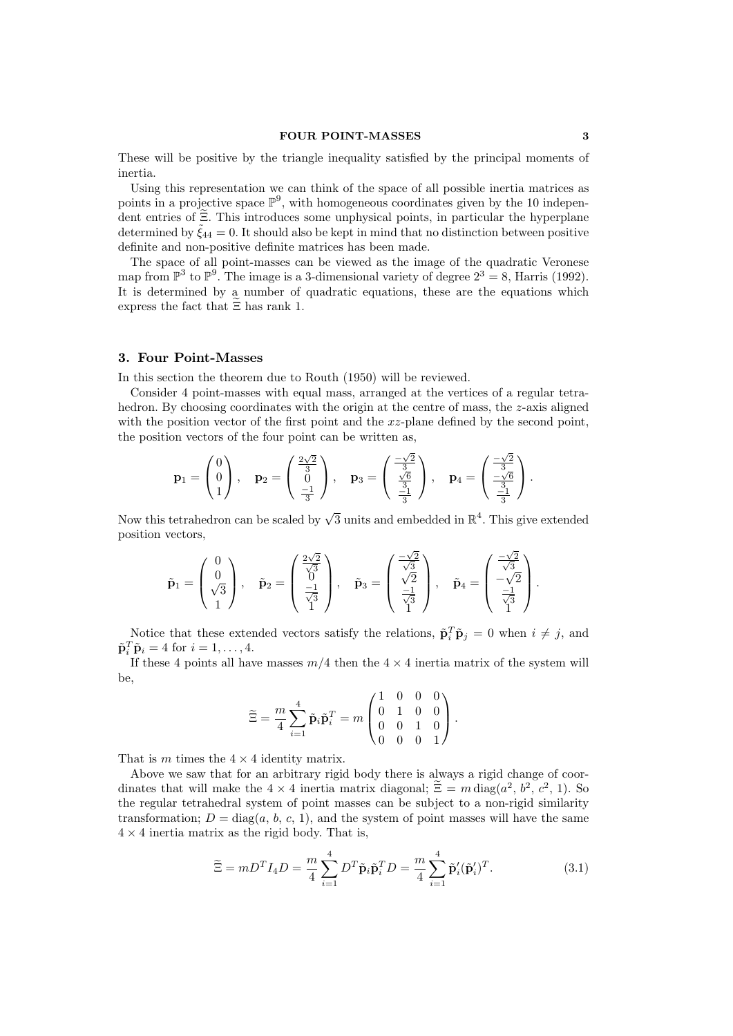## FOUR POINT-MASSES 3

These will be positive by the triangle inequality satisfied by the principal moments of inertia.

Using this representation we can think of the space of all possible inertia matrices as points in a projective space  $\mathbb{P}^9$ , with homogeneous coordinates given by the 10 independent entries of  $\tilde{\Xi}$ . This introduces some unphysical points, in particular the hyperplane determined by  $\tilde{\zeta}_{44} = 0$ . It should also be kept in mind that no distinction between positive definite and non-positive definite matrices has been made.

The space of all point-masses can be viewed as the image of the quadratic Veronese map from  $\mathbb{P}^3$  to  $\mathbb{P}^9$ . The image is a 3-dimensional variety of degree  $2^3 = 8$ , Harris (1992). It is determined by a number of quadratic equations, these are the equations which express the fact that  $\Xi$  has rank 1.

# 3. Four Point-Masses

In this section the theorem due to Routh (1950) will be reviewed.

Consider 4 point-masses with equal mass, arranged at the vertices of a regular tetrahedron. By choosing coordinates with the origin at the centre of mass, the  $z$ -axis aligned with the position vector of the first point and the  $xz$ -plane defined by the second point, the position vectors of the four point can be written as,

$$
\mathbf{p}_1 = \begin{pmatrix} 0 \\ 0 \\ 1 \end{pmatrix}, \quad \mathbf{p}_2 = \begin{pmatrix} \frac{2\sqrt{2}}{3} \\ 0 \\ \frac{-1}{3} \end{pmatrix}, \quad \mathbf{p}_3 = \begin{pmatrix} \frac{-\sqrt{2}}{3} \\ \frac{\sqrt{6}}{3} \\ \frac{-1}{3} \end{pmatrix}, \quad \mathbf{p}_4 = \begin{pmatrix} \frac{-\sqrt{2}}{3} \\ \frac{-\sqrt{6}}{3} \\ \frac{-1}{3} \end{pmatrix}.
$$

Now this tetrahedron can be scaled by  $\sqrt{3}$  units and embedded in  $\mathbb{R}^4$ . This give extended position vectors,

$$
\tilde{\mathbf{p}}_1 = \begin{pmatrix} 0 \\ 0 \\ \sqrt{3} \\ 1 \end{pmatrix}, \quad \tilde{\mathbf{p}}_2 = \begin{pmatrix} \frac{2\sqrt{2}}{\sqrt{3}} \\ 0 \\ \frac{-1}{\sqrt{3}} \\ 1 \end{pmatrix}, \quad \tilde{\mathbf{p}}_3 = \begin{pmatrix} \frac{-\sqrt{2}}{\sqrt{3}} \\ \frac{-1}{\sqrt{3}} \\ \frac{-1}{\sqrt{3}} \end{pmatrix}, \quad \tilde{\mathbf{p}}_4 = \begin{pmatrix} \frac{-\sqrt{2}}{\sqrt{3}} \\ -\sqrt{2} \\ \frac{-1}{\sqrt{3}} \\ 1 \end{pmatrix}.
$$

Notice that these extended vectors satisfy the relations,  $\tilde{\mathbf{p}}_i^T \tilde{\mathbf{p}}_j = 0$  when  $i \neq j$ , and  $\tilde{\mathbf{p}}_i^T \tilde{\mathbf{p}}_i = 4$  for  $i = 1, \ldots, 4$ .

If these 4 points all have masses  $m/4$  then the  $4 \times 4$  inertia matrix of the system will be,

$$
\widetilde{\Xi} = \frac{m}{4} \sum_{i=1}^{4} \widetilde{\mathbf{p}}_i \widetilde{\mathbf{p}}_i^T = m \begin{pmatrix} 1 & 0 & 0 & 0 \\ 0 & 1 & 0 & 0 \\ 0 & 0 & 1 & 0 \\ 0 & 0 & 0 & 1 \end{pmatrix}.
$$

That is m times the  $4 \times 4$  identity matrix.

Above we saw that for an arbitrary rigid body there is always a rigid change of coordinates that will make the  $4 \times 4$  inertia matrix diagonal;  $\tilde{\Xi} = m \operatorname{diag}(a^2, b^2, c^2, 1)$ . So the regular tetrahedral system of point masses can be subject to a non-rigid similarity transformation;  $D = \text{diag}(a, b, c, 1)$ , and the system of point masses will have the same  $4 \times 4$  inertia matrix as the rigid body. That is,

$$
\widetilde{\Xi} = mD^T I_4 D = \frac{m}{4} \sum_{i=1}^4 D^T \widetilde{\mathbf{p}}_i \widetilde{\mathbf{p}}_i^T D = \frac{m}{4} \sum_{i=1}^4 \widetilde{\mathbf{p}}_i^{\prime} (\widetilde{\mathbf{p}}_i^{\prime})^T.
$$
\n(3.1)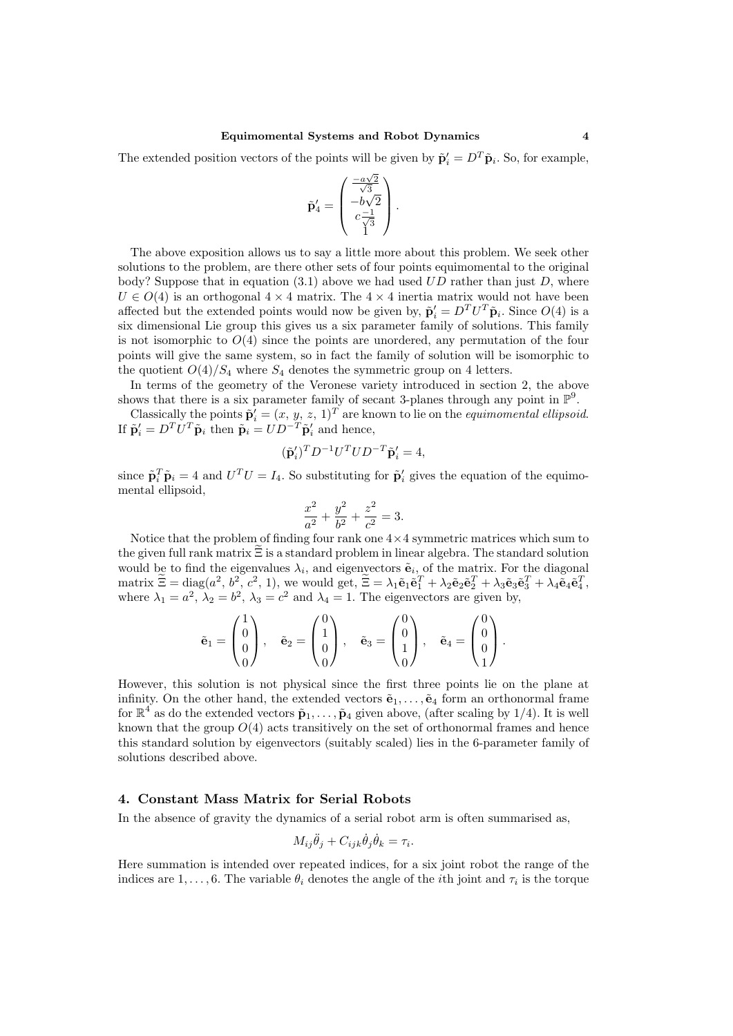The extended position vectors of the points will be given by  $\tilde{\mathbf{p}}'_i = D^T \tilde{\mathbf{p}}_i$ . So, for example,

$$
\tilde{\mathbf{p}}_4^\prime = \begin{pmatrix} \frac{-a\sqrt{2}}{\sqrt{3}} \\ -b\sqrt{2} \\ c\frac{-1}{\sqrt{3}} \\ 1 \end{pmatrix}.
$$

The above exposition allows us to say a little more about this problem. We seek other solutions to the problem, are there other sets of four points equimomental to the original body? Suppose that in equation  $(3.1)$  above we had used UD rather than just D, where  $U \in O(4)$  is an orthogonal  $4 \times 4$  matrix. The  $4 \times 4$  inertia matrix would not have been affected but the extended points would now be given by,  $\tilde{\mathbf{p}}'_i = D^T U^T \tilde{\mathbf{p}}_i$ . Since  $O(4)$  is a six dimensional Lie group this gives us a six parameter family of solutions. This family is not isomorphic to  $O(4)$  since the points are unordered, any permutation of the four points will give the same system, so in fact the family of solution will be isomorphic to the quotient  $O(4)/S_4$  where  $S_4$  denotes the symmetric group on 4 letters.

In terms of the geometry of the Veronese variety introduced in section 2, the above shows that there is a six parameter family of secant 3-planes through any point in  $\mathbb{P}^9$ .

Classically the points  $\tilde{\mathbf{p}}'_i = (x, y, z, 1)^T$  are known to lie on the *equimomental ellipsoid*. If  $\tilde{\mathbf{p}}'_i = D^T U^T \tilde{\mathbf{p}}_i$  then  $\tilde{\mathbf{p}}_i = U D^{-T} \tilde{\mathbf{p}}'_i$  and hence,

$$
(\tilde{\mathbf{p}}_i')^T D^{-1} U^T U D^{-T} \tilde{\mathbf{p}}_i' = 4,
$$

since  $\tilde{\mathbf{p}}_i^T \tilde{\mathbf{p}}_i = 4$  and  $U^T U = I_4$ . So substituting for  $\tilde{\mathbf{p}}'_i$  gives the equation of the equimomental ellipsoid,

$$
\frac{x^2}{a^2} + \frac{y^2}{b^2} + \frac{z^2}{c^2} = 3.
$$

Notice that the problem of finding four rank one  $4 \times 4$  symmetric matrices which sum to the given full rank matrix  $\Xi$  is a standard problem in linear algebra. The standard solution would be to find the eigenvalues  $\lambda_i$ , and eigenvectors  $\tilde{\mathbf{e}}_i$ , of the matrix. For the diagonal  $\text{matrix } \widetilde{\Xi} = \text{diag}(a^2, b^2, c^2, 1), \text{ we would get, } \widetilde{\Xi} = \lambda_1 \widetilde{\mathbf{e}}_1 \widetilde{\mathbf{e}}_1^T + \lambda_2 \widetilde{\mathbf{e}}_2 \widetilde{\mathbf{e}}_2^T + \lambda_3 \widetilde{\mathbf{e}}_3 \widetilde{\mathbf{e}}_3^T + \lambda_4 \widetilde{\mathbf{e}}_4 \widetilde{\mathbf{e}}_4^T,$ where  $\lambda_1 = a^2$ ,  $\lambda_2 = b^2$ ,  $\lambda_3 = c^2$  and  $\lambda_4 = 1$ . The eigenvectors are given by,

$$
\tilde{\mathbf{e}}_1 = \begin{pmatrix} 1 \\ 0 \\ 0 \\ 0 \end{pmatrix}, \quad \tilde{\mathbf{e}}_2 = \begin{pmatrix} 0 \\ 1 \\ 0 \\ 0 \end{pmatrix}, \quad \tilde{\mathbf{e}}_3 = \begin{pmatrix} 0 \\ 0 \\ 1 \\ 0 \end{pmatrix}, \quad \tilde{\mathbf{e}}_4 = \begin{pmatrix} 0 \\ 0 \\ 0 \\ 1 \end{pmatrix}.
$$

However, this solution is not physical since the first three points lie on the plane at infinity. On the other hand, the extended vectors  $\tilde{\mathbf{e}}_1, \ldots, \tilde{\mathbf{e}}_4$  form an orthonormal frame for  $\mathbb{R}^4$  as do the extended vectors  $\tilde{\mathbf{p}}_1, \ldots, \tilde{\mathbf{p}}_4$  given above, (after scaling by 1/4). It is well known that the group  $O(4)$  acts transitively on the set of orthonormal frames and hence this standard solution by eigenvectors (suitably scaled) lies in the 6-parameter family of solutions described above.

# 4. Constant Mass Matrix for Serial Robots

In the absence of gravity the dynamics of a serial robot arm is often summarised as,

$$
M_{ij}\ddot{\theta}_j + C_{ijk}\dot{\theta}_j\dot{\theta}_k = \tau_i.
$$

Here summation is intended over repeated indices, for a six joint robot the range of the indices are 1, ..., 6. The variable  $\theta_i$  denotes the angle of the *i*th joint and  $\tau_i$  is the torque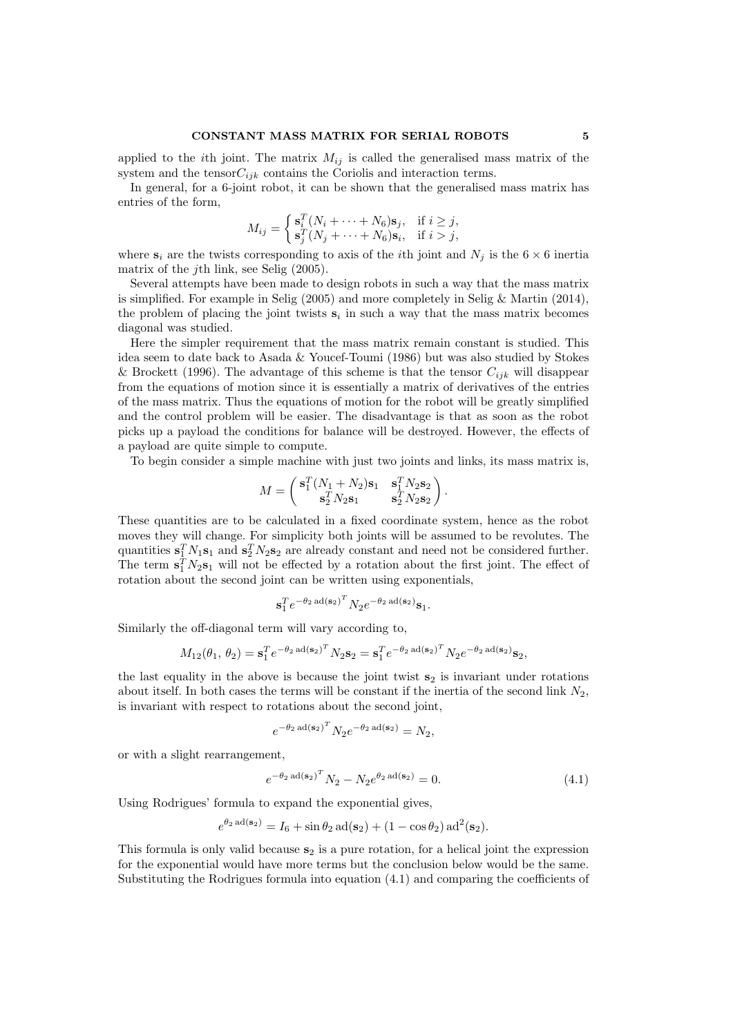# CONSTANT MASS MATRIX FOR SERIAL ROBOTS 5

applied to the *i*th joint. The matrix  $M_{ij}$  is called the generalised mass matrix of the system and the tensor $C_{ijk}$  contains the Coriolis and interaction terms.

In general, for a 6-joint robot, it can be shown that the generalised mass matrix has entries of the form,

$$
M_{ij} = \begin{cases} \mathbf{s}_i^T (N_i + \dots + N_6) \mathbf{s}_j, & \text{if } i \geq j, \\ \mathbf{s}_j^T (N_j + \dots + N_6) \mathbf{s}_i, & \text{if } i > j, \end{cases}
$$

where  $s_i$  are the twists corresponding to axis of the *i*th joint and  $N_j$  is the  $6 \times 6$  inertia matrix of the jth link, see Selig (2005).

Several attempts have been made to design robots in such a way that the mass matrix is simplified. For example in Selig (2005) and more completely in Selig & Martin (2014), the problem of placing the joint twists  $s_i$  in such a way that the mass matrix becomes diagonal was studied.

Here the simpler requirement that the mass matrix remain constant is studied. This idea seem to date back to Asada & Youcef-Toumi (1986) but was also studied by Stokes & Brockett (1996). The advantage of this scheme is that the tensor  $C_{ijk}$  will disappear from the equations of motion since it is essentially a matrix of derivatives of the entries of the mass matrix. Thus the equations of motion for the robot will be greatly simplified and the control problem will be easier. The disadvantage is that as soon as the robot picks up a payload the conditions for balance will be destroyed. However, the effects of a payload are quite simple to compute.

To begin consider a simple machine with just two joints and links, its mass matrix is,

$$
M = \begin{pmatrix} \mathbf{s}_1^T (N_1 + N_2) \mathbf{s}_1 & \mathbf{s}_1^T N_2 \mathbf{s}_2 \\ \mathbf{s}_2^T N_2 \mathbf{s}_1 & \mathbf{s}_2^T N_2 \mathbf{s}_2 \end{pmatrix}.
$$

These quantities are to be calculated in a fixed coordinate system, hence as the robot moves they will change. For simplicity both joints will be assumed to be revolutes. The quantities  $\mathbf{s}_1^T N_1 \mathbf{s}_1$  and  $\mathbf{s}_2^T N_2 \mathbf{s}_2$  are already constant and need not be considered further. The term  $\mathbf{s}_1^T N_2 \mathbf{s}_1$  will not be effected by a rotation about the first joint. The effect of rotation about the second joint can be written using exponentials,

$$
\mathbf{s}_1^T e^{-\theta_2 \operatorname{ad}(\mathbf{s}_2)^T} N_2 e^{-\theta_2 \operatorname{ad}(\mathbf{s}_2)} \mathbf{s}_1.
$$

Similarly the off-diagonal term will vary according to,

$$
M_{12}(\theta_1, \theta_2) = \mathbf{s}_1^T e^{-\theta_2 \operatorname{ad}(\mathbf{s}_2)^T} N_2 \mathbf{s}_2 = \mathbf{s}_1^T e^{-\theta_2 \operatorname{ad}(\mathbf{s}_2)^T} N_2 e^{-\theta_2 \operatorname{ad}(\mathbf{s}_2)} \mathbf{s}_2,
$$

the last equality in the above is because the joint twist  $s<sub>2</sub>$  is invariant under rotations about itself. In both cases the terms will be constant if the inertia of the second link  $N_2$ , is invariant with respect to rotations about the second joint,

$$
e^{-\theta_2 \operatorname{ad}(\mathbf{s}_2)^T} N_2 e^{-\theta_2 \operatorname{ad}(\mathbf{s}_2)} = N_2,
$$

or with a slight rearrangement,

$$
e^{-\theta_2 \operatorname{ad}(\mathbf{s}_2)^T} N_2 - N_2 e^{\theta_2 \operatorname{ad}(\mathbf{s}_2)} = 0.
$$
 (4.1)

Using Rodrigues' formula to expand the exponential gives,

$$
e^{\theta_2 \operatorname{ad}(\mathbf{s}_2)} = I_6 + \sin \theta_2 \operatorname{ad}(\mathbf{s}_2) + (1 - \cos \theta_2) \operatorname{ad}^2(\mathbf{s}_2).
$$

This formula is only valid because  $s_2$  is a pure rotation, for a helical joint the expression for the exponential would have more terms but the conclusion below would be the same. Substituting the Rodrigues formula into equation (4.1) and comparing the coefficients of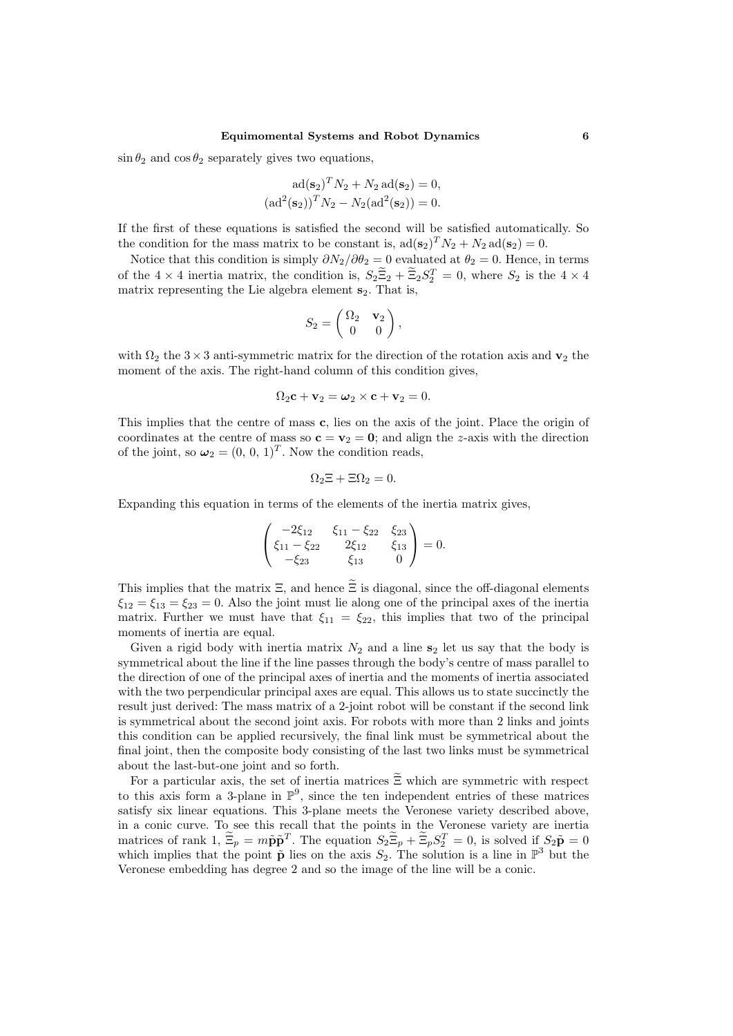$\sin \theta_2$  and  $\cos \theta_2$  separately gives two equations,

$$
ad(\mathbf{s}_2)^T N_2 + N_2 ad(\mathbf{s}_2) = 0,
$$
  

$$
(ad^2(\mathbf{s}_2))^T N_2 - N_2(ad^2(\mathbf{s}_2)) = 0.
$$

If the first of these equations is satisfied the second will be satisfied automatically. So the condition for the mass matrix to be constant is,  $ad(\mathbf{s}_2)^T N_2 + N_2 ad(\mathbf{s}_2) = 0$ .

Notice that this condition is simply  $\partial N_2/\partial \theta_2 = 0$  evaluated at  $\theta_2 = 0$ . Hence, in terms of the  $4 \times 4$  inertia matrix, the condition is,  $S_2\overline{\Xi}_2 + \overline{\Xi}_2S_2^T = 0$ , where  $S_2$  is the  $4 \times 4$ matrix representing the Lie algebra element  $s_2$ . That is,

$$
S_2 = \begin{pmatrix} \Omega_2 & \mathbf{v}_2 \\ 0 & 0 \end{pmatrix},
$$

with  $\Omega_2$  the 3 × 3 anti-symmetric matrix for the direction of the rotation axis and  $\mathbf{v}_2$  the moment of the axis. The right-hand column of this condition gives,

$$
\Omega_2 \mathbf{c} + \mathbf{v}_2 = \boldsymbol{\omega}_2 \times \mathbf{c} + \mathbf{v}_2 = 0.
$$

This implies that the centre of mass c, lies on the axis of the joint. Place the origin of coordinates at the centre of mass so  $\mathbf{c} = \mathbf{v}_2 = \mathbf{0}$ ; and align the z-axis with the direction of the joint, so  $\omega_2 = (0, 0, 1)^T$ . Now the condition reads,

$$
\Omega_2 \Xi + \Xi \Omega_2 = 0.
$$

Expanding this equation in terms of the elements of the inertia matrix gives,

$$
\begin{pmatrix}\n-2\xi_{12} & \xi_{11} - \xi_{22} & \xi_{23} \\
\xi_{11} - \xi_{22} & 2\xi_{12} & \xi_{13} \\
-\xi_{23} & \xi_{13} & 0\n\end{pmatrix} = 0.
$$

This implies that the matrix  $\Xi$ , and hence  $\widetilde{\Xi}$  is diagonal, since the off-diagonal elements  $\xi_{12} = \xi_{13} = \xi_{23} = 0$ . Also the joint must lie along one of the principal axes of the inertia matrix. Further we must have that  $\xi_{11} = \xi_{22}$ , this implies that two of the principal moments of inertia are equal.

Given a rigid body with inertia matrix  $N_2$  and a line  $s_2$  let us say that the body is symmetrical about the line if the line passes through the body's centre of mass parallel to the direction of one of the principal axes of inertia and the moments of inertia associated with the two perpendicular principal axes are equal. This allows us to state succinctly the result just derived: The mass matrix of a 2-joint robot will be constant if the second link is symmetrical about the second joint axis. For robots with more than 2 links and joints this condition can be applied recursively, the final link must be symmetrical about the final joint, then the composite body consisting of the last two links must be symmetrical about the last-but-one joint and so forth.

For a particular axis, the set of inertia matrices  $\widetilde{\Xi}$  which are symmetric with respect to this axis form a 3-plane in  $\mathbb{P}^9$ , since the ten independent entries of these matrices satisfy six linear equations. This 3-plane meets the Veronese variety described above, in a conic curve. To see this recall that the points in the Veronese variety are inertia matrices of rank  $1, \tilde{E}_p = m\tilde{p}\tilde{p}^T$ . The equation  $S_2\tilde{E}_p + \tilde{E}_pS_2^T = 0$ , is solved if  $S_2\tilde{p} = 0$ which implies that the point  $\tilde{\mathbf{p}}$  lies on the axis  $S_2$ . The solution is a line in  $\mathbb{P}^3$  but the Veronese embedding has degree 2 and so the image of the line will be a conic.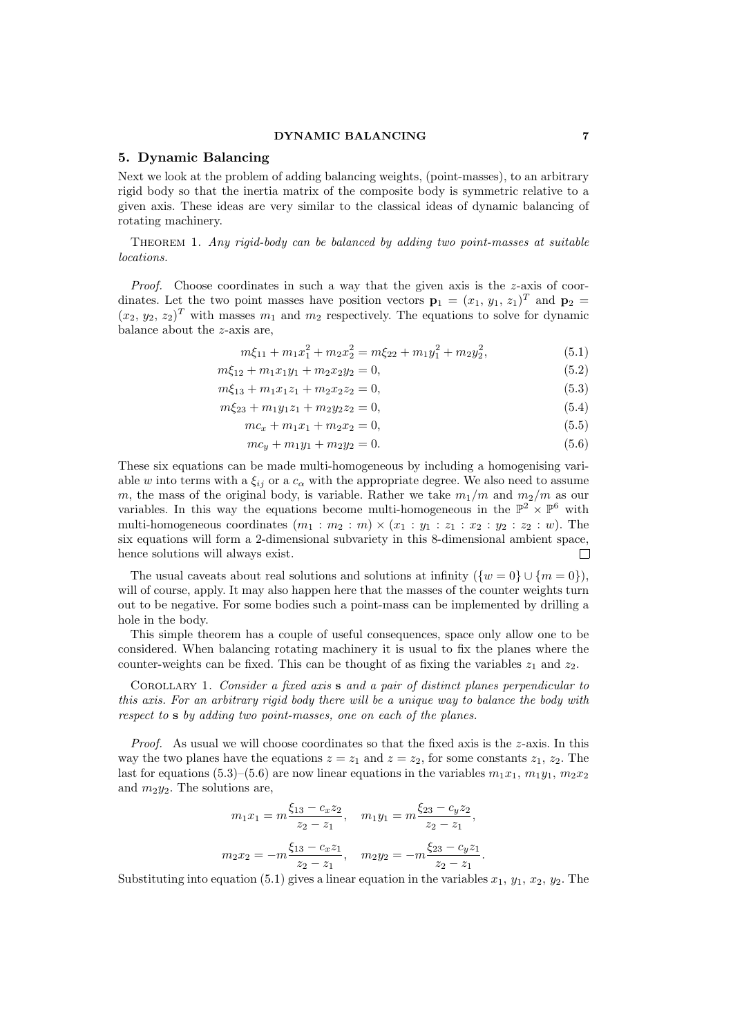# DYNAMIC BALANCING 7

# 5. Dynamic Balancing

Next we look at the problem of adding balancing weights, (point-masses), to an arbitrary rigid body so that the inertia matrix of the composite body is symmetric relative to a given axis. These ideas are very similar to the classical ideas of dynamic balancing of rotating machinery.

Theorem 1. Any rigid-body can be balanced by adding two point-masses at suitable locations.

*Proof.* Choose coordinates in such a way that the given axis is the  $z$ -axis of coordinates. Let the two point masses have position vectors  $\mathbf{p}_1 = (x_1, y_1, z_1)^T$  and  $\mathbf{p}_2 =$  $(x_2, y_2, z_2)^T$  with masses  $m_1$  and  $m_2$  respectively. The equations to solve for dynamic balance about the z-axis are,

$$
m\xi_{11} + m_1x_1^2 + m_2x_2^2 = m\xi_{22} + m_1y_1^2 + m_2y_2^2, \tag{5.1}
$$

$$
m\xi_{12} + m_1 x_1 y_1 + m_2 x_2 y_2 = 0,\t\t(5.2)
$$

$$
m\xi_{13} + m_1x_1z_1 + m_2x_2z_2 = 0,\t\t(5.3)
$$

$$
m\xi_{23} + m_1 y_1 z_1 + m_2 y_2 z_2 = 0,\t\t(5.4)
$$

$$
mc_x + m_1x_1 + m_2x_2 = 0,\t\t(5.5)
$$

$$
mc_y + m_1y_1 + m_2y_2 = 0.\t\t(5.6)
$$

These six equations can be made multi-homogeneous by including a homogenising variable w into terms with a  $\xi_{ij}$  or a  $c_{\alpha}$  with the appropriate degree. We also need to assume m, the mass of the original body, is variable. Rather we take  $m_1/m$  and  $m_2/m$  as our variables. In this way the equations become multi-homogeneous in the  $\mathbb{P}^2 \times \mathbb{P}^6$  with multi-homogeneous coordinates  $(m_1 : m_2 : m) \times (x_1 : y_1 : z_1 : x_2 : y_2 : z_2 : w)$ . The six equations will form a 2-dimensional subvariety in this 8-dimensional ambient space, hence solutions will always exist.  $\Box$ 

The usual caveats about real solutions and solutions at infinity  $({w = 0} \cup {m = 0})$ , will of course, apply. It may also happen here that the masses of the counter weights turn out to be negative. For some bodies such a point-mass can be implemented by drilling a hole in the body.

This simple theorem has a couple of useful consequences, space only allow one to be considered. When balancing rotating machinery it is usual to fix the planes where the counter-weights can be fixed. This can be thought of as fixing the variables  $z_1$  and  $z_2$ .

COROLLARY 1. Consider a fixed axis s and a pair of distinct planes perpendicular to this axis. For an arbitrary rigid body there will be a unique way to balance the body with respect to s by adding two point-masses, one on each of the planes.

*Proof.* As usual we will choose coordinates so that the fixed axis is the  $z$ -axis. In this way the two planes have the equations  $z = z_1$  and  $z = z_2$ , for some constants  $z_1, z_2$ . The last for equations (5.3)–(5.6) are now linear equations in the variables  $m_1x_1, m_1y_1, m_2x_2$ and  $m_2y_2$ . The solutions are,

$$
m_1x_1 = m \frac{\xi_{13} - c_x z_2}{z_2 - z_1}, \quad m_1y_1 = m \frac{\xi_{23} - c_y z_2}{z_2 - z_1},
$$

$$
m_2x_2 = -m \frac{\xi_{13} - c_x z_1}{z_2 - z_1}, \quad m_2y_2 = -m \frac{\xi_{23} - c_y z_1}{z_2 - z_1}.
$$

Substituting into equation (5.1) gives a linear equation in the variables  $x_1, y_1, x_2, y_2$ . The